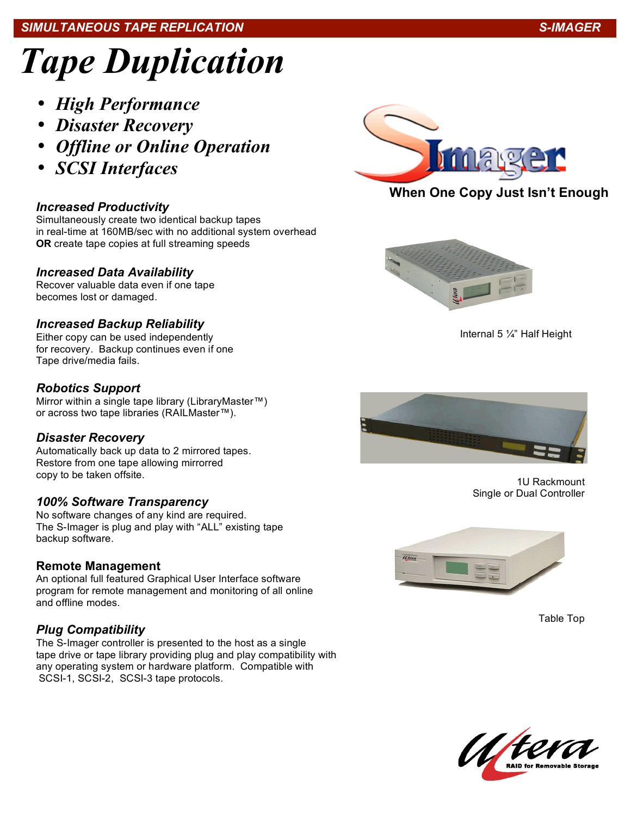#### j *SIMULTANEOUS TAPE REPLICATION S-IMAGER*

# *Tape Duplication*

- *High Performance*
- *Disaster Recovery*
- *Offline or Online Operation*
- *SCSI Interfaces*

# *Increased Productivity*

Simultaneously create two identical backup tapes in real-time at 160MB/sec with no additional system overhead **OR** create tape copies at full streaming speeds

### *Increased Data Availability*

Recover valuable data even if one tape becomes lost or damaged.

# *Increased Backup Reliability*

Either copy can be used independently for recovery. Backup continues even if one Tape drive/media fails.

# *Robotics Support*

Mirror within a single tape library (LibraryMaster™) or across two tape libraries (RAILMaster™).

# *Disaster Recovery*

Automatically back up data to 2 mirrored tapes. Restore from one tape allowing mirrorred copy to be taken offsite.

# *100% Software Transparency*

No software changes of any kind are required. The S-Imager is plug and play with "ALL" existing tape backup software.

# **Remote Management**

An optional full featured Graphical User Interface software program for remote management and monitoring of all online and offline modes.

# *Plug Compatibility*

The S-Imager controller is presented to the host as a single tape drive or tape library providing plug and play compatibility with any operating system or hardware platform. Compatible with SCSI-1, SCSI-2, SCSI-3 tape protocols.



# **When One Copy Just Isn't Enough**



Internal 5 ¼" Half Height



1U Rackmount Single or Dual Controller



Table Top